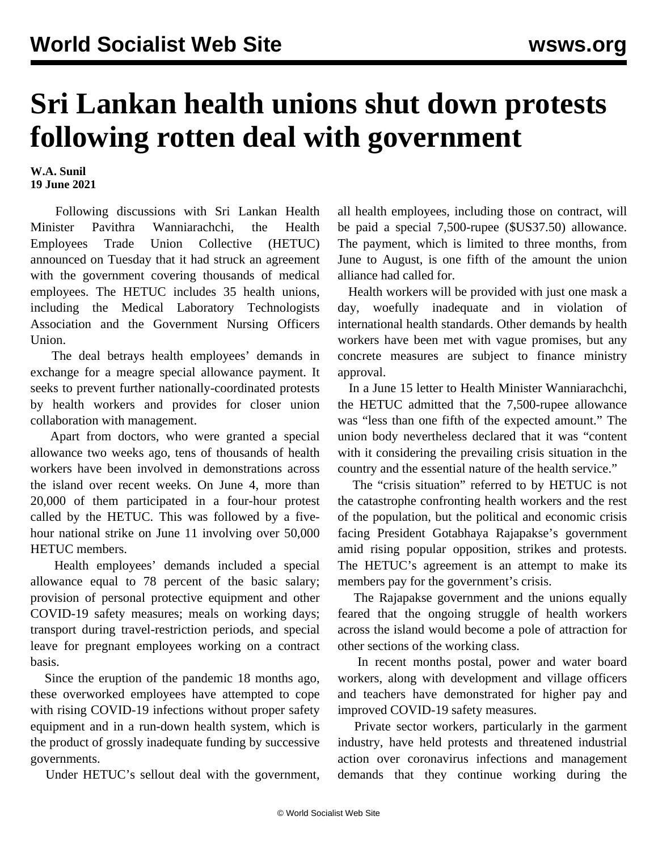## **Sri Lankan health unions shut down protests following rotten deal with government**

**W.A. Sunil 19 June 2021**

 Following discussions with Sri Lankan Health Minister Pavithra Wanniarachchi, the Health Employees Trade Union Collective (HETUC) announced on Tuesday that it had struck an agreement with the government covering thousands of medical employees. The HETUC includes 35 health unions, including the Medical Laboratory Technologists Association and the Government Nursing Officers Union.

 The deal betrays health employees' demands in exchange for a meagre special allowance payment. It seeks to prevent further nationally-coordinated protests by health workers and provides for closer union collaboration with management.

 Apart from doctors, who were granted a special allowance two weeks ago, tens of thousands of health workers have been involved in demonstrations across the island over recent weeks. On June 4, more than 20,000 of them participated in a four-hour protest called by the HETUC. This was followed by a fivehour national strike on June 11 involving over 50,000 HETUC members.

 Health employees' demands included a special allowance equal to 78 percent of the basic salary; provision of personal protective equipment and other COVID-19 safety measures; meals on working days; transport during travel-restriction periods, and special leave for pregnant employees working on a contract basis.

 Since the eruption of the pandemic 18 months ago, these overworked employees have attempted to cope with rising COVID-19 infections without proper safety equipment and in a run-down health system, which is the product of grossly inadequate funding by successive governments.

Under HETUC's sellout deal with the government,

all health employees, including those on contract, will be paid a special 7,500-rupee (\$US37.50) allowance. The payment, which is limited to three months, from June to August, is one fifth of the amount the union alliance had called for.

 Health workers will be provided with just one mask a day, woefully inadequate and in violation of international health standards. Other demands by health workers have been met with vague promises, but any concrete measures are subject to finance ministry approval.

 In a June 15 letter to Health Minister Wanniarachchi, the HETUC admitted that the 7,500-rupee allowance was "less than one fifth of the expected amount." The union body nevertheless declared that it was "content with it considering the prevailing crisis situation in the country and the essential nature of the health service."

 The "crisis situation" referred to by HETUC is not the catastrophe confronting health workers and the rest of the population, but the political and economic crisis facing President Gotabhaya Rajapakse's government amid rising popular opposition, strikes and protests. The HETUC's agreement is an attempt to make its members pay for the government's crisis.

 The Rajapakse government and the unions equally feared that the ongoing struggle of health workers across the island would become a pole of attraction for other sections of the working class.

 In recent months postal, power and water board workers, along with development and village officers and teachers have demonstrated for higher pay and improved COVID-19 safety measures.

 Private sector workers, particularly in the garment industry, have held protests and threatened industrial action over coronavirus infections and management demands that they continue working during the